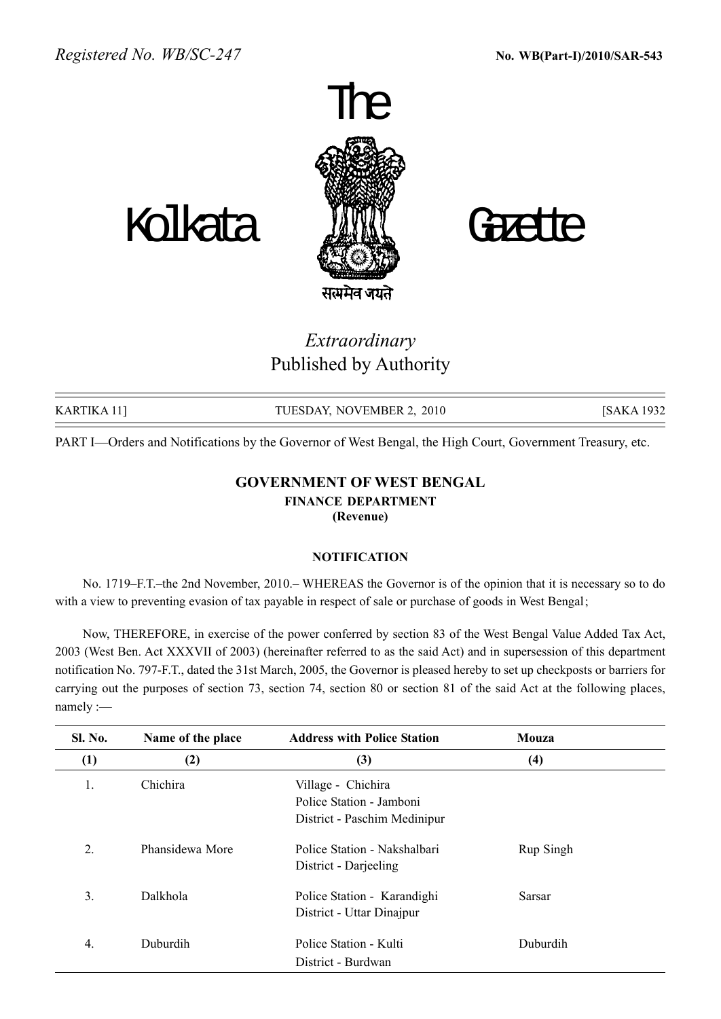

## Extraordinary Published by Authority

| KARTIKA 111 | TUESDAY, NOVEMBER 2, 2010 | [SAKA 1932] |
|-------------|---------------------------|-------------|

PART I—Orders and Notifications by the Governor of West Bengal, the High Court, Government Treasury, etc.

## GOVERNMENT OF WEST BENGAL FINANCE DEPARTMENT (Revenue)

## **NOTIFICATION**

No. 1719–F.T.–the 2nd November, 2010. WHEREAS the Governor is of the opinion that it is necessary so to do with a view to preventing evasion of tax payable in respect of sale or purchase of goods in West Bengal;

Now, THEREFORE, in exercise of the power conferred by section 83 of the West Bengal Value Added Tax Act, 2003 (West Ben. Act XXXVII of 2003) (hereinafter referred to as the said Act) and in supersession of this department notification No. 797-F.T., dated the 31st March, 2005, the Governor is pleased hereby to set up checkposts or barriers for carrying out the purposes of section 73, section 74, section 80 or section 81 of the said Act at the following places, namely :-

| <b>Sl. No.</b>   | Name of the place | <b>Address with Police Station</b>                                             | Mouza     |
|------------------|-------------------|--------------------------------------------------------------------------------|-----------|
| $\left(1\right)$ | (2)               | (3)                                                                            | (4)       |
| 1.               | Chichira          | Village - Chichira<br>Police Station - Jamboni<br>District - Paschim Medinipur |           |
| 2.               | Phansidewa More   | Police Station - Nakshalbari<br>District - Darjeeling                          | Rup Singh |
| 3.               | Dalkhola          | Police Station - Karandighi<br>District - Uttar Dinajpur                       | Sarsar    |
| 4.               | Duburdih          | Police Station - Kulti<br>District - Burdwan                                   | Duburdih  |